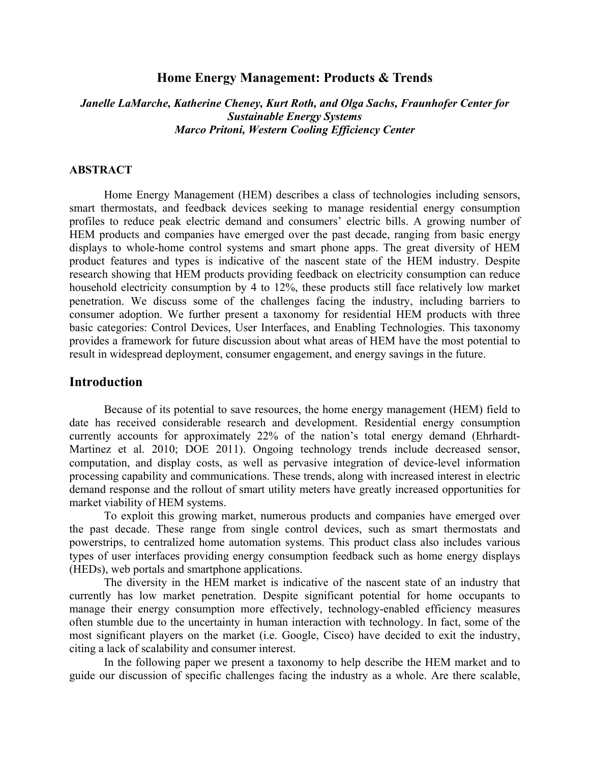#### **Home Energy Management: Products & Trends**

# *Janelle LaMarche, Katherine Cheney, Kurt Roth, and Olga Sachs, Fraunhofer Center for Sustainable Energy Systems Marco Pritoni, Western Cooling Efficiency Center*

#### **ABSTRACT**

Home Energy Management (HEM) describes a class of technologies including sensors, smart thermostats, and feedback devices seeking to manage residential energy consumption profiles to reduce peak electric demand and consumers' electric bills. A growing number of HEM products and companies have emerged over the past decade, ranging from basic energy displays to whole-home control systems and smart phone apps. The great diversity of HEM product features and types is indicative of the nascent state of the HEM industry. Despite research showing that HEM products providing feedback on electricity consumption can reduce household electricity consumption by 4 to 12%, these products still face relatively low market penetration. We discuss some of the challenges facing the industry, including barriers to consumer adoption. We further present a taxonomy for residential HEM products with three basic categories: Control Devices, User Interfaces, and Enabling Technologies. This taxonomy provides a framework for future discussion about what areas of HEM have the most potential to result in widespread deployment, consumer engagement, and energy savings in the future.

#### **Introduction**

Because of its potential to save resources, the home energy management (HEM) field to date has received considerable research and development. Residential energy consumption currently accounts for approximately 22% of the nation's total energy demand (Ehrhardt-Martinez et al. 2010; DOE 2011). Ongoing technology trends include decreased sensor, computation, and display costs, as well as pervasive integration of device-level information processing capability and communications. These trends, along with increased interest in electric demand response and the rollout of smart utility meters have greatly increased opportunities for market viability of HEM systems.

To exploit this growing market, numerous products and companies have emerged over the past decade. These range from single control devices, such as smart thermostats and powerstrips, to centralized home automation systems. This product class also includes various types of user interfaces providing energy consumption feedback such as home energy displays (HEDs), web portals and smartphone applications.

The diversity in the HEM market is indicative of the nascent state of an industry that currently has low market penetration. Despite significant potential for home occupants to manage their energy consumption more effectively, technology-enabled efficiency measures often stumble due to the uncertainty in human interaction with technology. In fact, some of the most significant players on the market (i.e. Google, Cisco) have decided to exit the industry, citing a lack of scalability and consumer interest.

In the following paper we present a taxonomy to help describe the HEM market and to guide our discussion of specific challenges facing the industry as a whole. Are there scalable,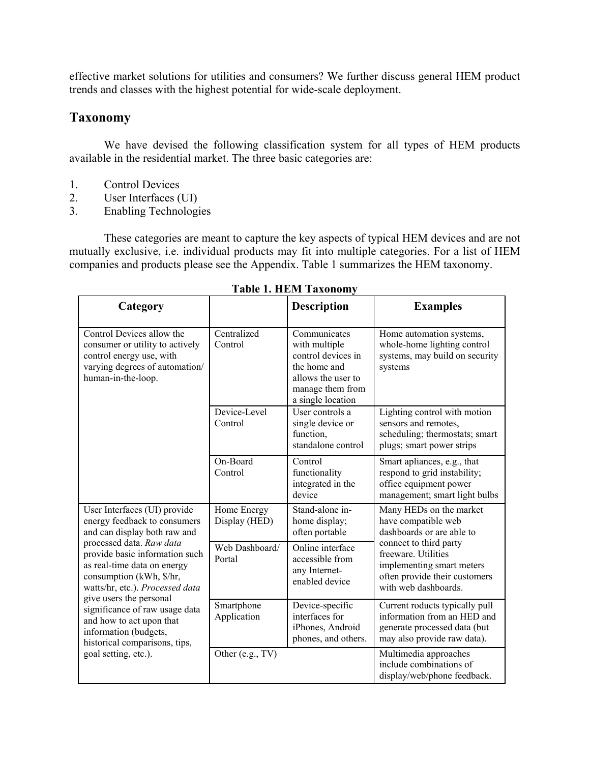effective market solutions for utilities and consumers? We further discuss general HEM product trends and classes with the highest potential for wide-scale deployment.

# **Taxonomy**

We have devised the following classification system for all types of HEM products available in the residential market. The three basic categories are:

- 1. Control Devices
- 2. User Interfaces (UI)
- 3. Enabling Technologies

These categories are meant to capture the key aspects of typical HEM devices and are not mutually exclusive, i.e. individual products may fit into multiple categories. For a list of HEM companies and products please see the Appendix. Table 1 summarizes the HEM taxonomy.

|                                                                                                                                                                                                                                                                                                                                                                                                                                     |                              | ruore II ment Tuxonom                                                                                                              |                                                                                                                                     |
|-------------------------------------------------------------------------------------------------------------------------------------------------------------------------------------------------------------------------------------------------------------------------------------------------------------------------------------------------------------------------------------------------------------------------------------|------------------------------|------------------------------------------------------------------------------------------------------------------------------------|-------------------------------------------------------------------------------------------------------------------------------------|
| Category                                                                                                                                                                                                                                                                                                                                                                                                                            |                              | <b>Description</b>                                                                                                                 | <b>Examples</b>                                                                                                                     |
| Control Devices allow the<br>consumer or utility to actively<br>control energy use, with<br>varying degrees of automation/<br>human-in-the-loop.                                                                                                                                                                                                                                                                                    | Centralized<br>Control       | Communicates<br>with multiple<br>control devices in<br>the home and<br>allows the user to<br>manage them from<br>a single location | Home automation systems,<br>whole-home lighting control<br>systems, may build on security<br>systems                                |
|                                                                                                                                                                                                                                                                                                                                                                                                                                     | Device-Level<br>Control      | User controls a<br>single device or<br>function,<br>standalone control                                                             | Lighting control with motion<br>sensors and remotes,<br>scheduling; thermostats; smart<br>plugs; smart power strips                 |
|                                                                                                                                                                                                                                                                                                                                                                                                                                     | On-Board<br>Control          | Control<br>functionality<br>integrated in the<br>device                                                                            | Smart apliances, e.g., that<br>respond to grid instability;<br>office equipment power<br>management; smart light bulbs              |
| User Interfaces (UI) provide<br>energy feedback to consumers<br>and can display both raw and<br>processed data. Raw data<br>provide basic information such<br>as real-time data on energy<br>consumption (kWh, \$/hr,<br>watts/hr, etc.). Processed data<br>give users the personal<br>significance of raw usage data<br>and how to act upon that<br>information (budgets,<br>historical comparisons, tips,<br>goal setting, etc.). | Home Energy<br>Display (HED) | Stand-alone in-<br>home display;<br>often portable                                                                                 | Many HEDs on the market<br>have compatible web<br>dashboards or are able to                                                         |
|                                                                                                                                                                                                                                                                                                                                                                                                                                     | Web Dashboard/<br>Portal     | Online interface<br>accessible from<br>any Internet-<br>enabled device                                                             | connect to third party<br>freeware. Utilities<br>implementing smart meters<br>often provide their customers<br>with web dashboards. |
|                                                                                                                                                                                                                                                                                                                                                                                                                                     | Smartphone<br>Application    | Device-specific<br>interfaces for<br>iPhones, Android<br>phones, and others.                                                       | Current roducts typically pull<br>information from an HED and<br>generate processed data (but<br>may also provide raw data).        |
|                                                                                                                                                                                                                                                                                                                                                                                                                                     | Other (e.g., TV)             |                                                                                                                                    | Multimedia approaches<br>include combinations of<br>display/web/phone feedback.                                                     |

|  |  |  |  | <b>Table 1. HEM Taxonomy</b> |
|--|--|--|--|------------------------------|
|--|--|--|--|------------------------------|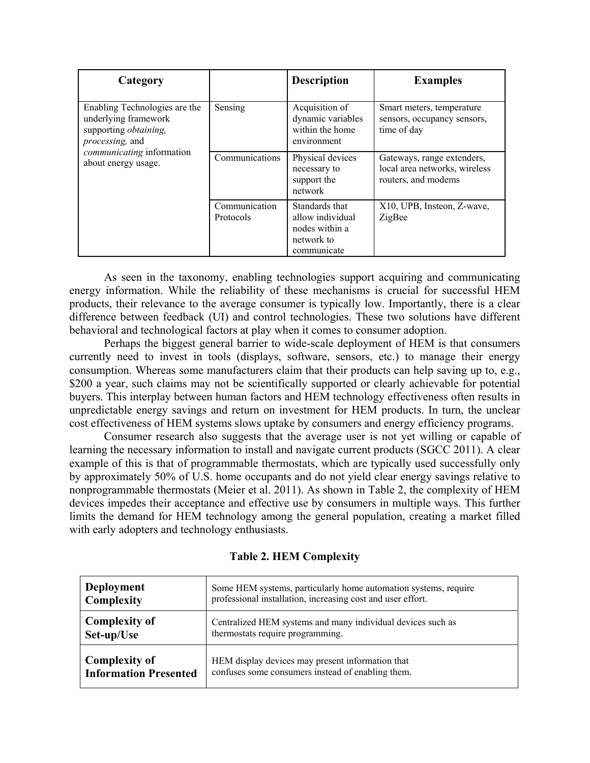| Category                                                                                                                                                              |                                   | <b>Description</b>                                                                | <b>Examples</b>                                                                    |
|-----------------------------------------------------------------------------------------------------------------------------------------------------------------------|-----------------------------------|-----------------------------------------------------------------------------------|------------------------------------------------------------------------------------|
| Enabling Technologies are the<br>underlying framework<br>supporting <i>obtaining</i> ,<br><i>processing</i> , and<br>communicating information<br>about energy usage. | Sensing                           | Acquisition of<br>dynamic variables<br>within the home<br>environment             | Smart meters, temperature<br>sensors, occupancy sensors,<br>time of day            |
|                                                                                                                                                                       | Communications                    | Physical devices<br>necessary to<br>support the<br>network                        | Gateways, range extenders,<br>local area networks, wireless<br>routers, and modems |
|                                                                                                                                                                       | Communication<br><b>Protocols</b> | Standards that<br>allow individual<br>nodes within a<br>network to<br>communicate | X10, UPB, Insteon, Z-wave,<br>ZigBee                                               |

As seen in the taxonomy, enabling technologies support acquiring and communicating energy information. While the reliability of these mechanisms is crucial for successful HEM products, their relevance to the average consumer is typically low. Importantly, there is a clear difference between feedback (UI) and control technologies. These two solutions have different behavioral and technological factors at play when it comes to consumer adoption.

Perhaps the biggest general barrier to wide-scale deployment of HEM is that consumers currently need to invest in tools (displays, software, sensors, etc.) to manage their energy consumption. Whereas some manufacturers claim that their products can help saving up to, e.g., \$200 a year, such claims may not be scientifically supported or clearly achievable for potential buyers. This interplay between human factors and HEM technology effectiveness often results in unpredictable energy savings and return on investment for HEM products. In turn, the unclear cost effectiveness of HEM systems slows uptake by consumers and energy efficiency programs.

Consumer research also suggests that the average user is not yet willing or capable of learning the necessary information to install and navigate current products (SGCC 2011). A clear example of this is that of programmable thermostats, which are typically used successfully only by approximately 50% of U.S. home occupants and do not yield clear energy savings relative to nonprogrammable thermostats (Meier et al. 2011). As shown in Table 2, the complexity of HEM devices impedes their acceptance and effective use by consumers in multiple ways. This further limits the demand for HEM technology among the general population, creating a market filled with early adopters and technology enthusiasts.

| <b>Deployment</b>            | Some HEM systems, particularly home automation systems, require |
|------------------------------|-----------------------------------------------------------------|
| Complexity                   | professional installation, increasing cost and user effort.     |
| <b>Complexity of</b>         | Centralized HEM systems and many individual devices such as     |
| Set-up/Use                   | thermostats require programming.                                |
| <b>Complexity of</b>         | HEM display devices may present information that                |
| <b>Information Presented</b> | confuses some consumers instead of enabling them.               |

# **Table 2. HEM Complexity**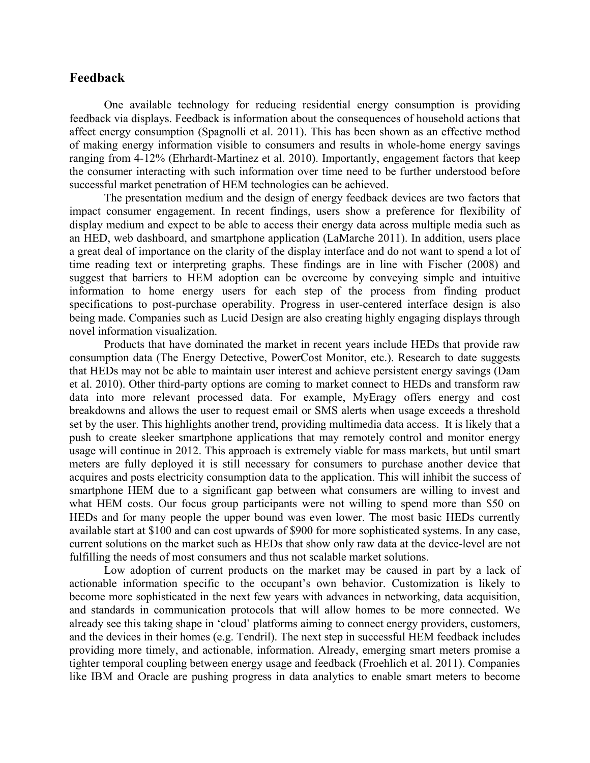# **Feedback**

One available technology for reducing residential energy consumption is providing feedback via displays. Feedback is information about the consequences of household actions that affect energy consumption (Spagnolli et al. 2011). This has been shown as an effective method of making energy information visible to consumers and results in whole-home energy savings ranging from 4-12% (Ehrhardt-Martinez et al. 2010). Importantly, engagement factors that keep the consumer interacting with such information over time need to be further understood before successful market penetration of HEM technologies can be achieved.

The presentation medium and the design of energy feedback devices are two factors that impact consumer engagement. In recent findings, users show a preference for flexibility of display medium and expect to be able to access their energy data across multiple media such as an HED, web dashboard, and smartphone application (LaMarche 2011). In addition, users place a great deal of importance on the clarity of the display interface and do not want to spend a lot of time reading text or interpreting graphs. These findings are in line with Fischer (2008) and suggest that barriers to HEM adoption can be overcome by conveying simple and intuitive information to home energy users for each step of the process from finding product specifications to post-purchase operability. Progress in user-centered interface design is also being made. Companies such as Lucid Design are also creating highly engaging displays through novel information visualization.

Products that have dominated the market in recent years include HEDs that provide raw consumption data (The Energy Detective, PowerCost Monitor, etc.). Research to date suggests that HEDs may not be able to maintain user interest and achieve persistent energy savings (Dam et al. 2010). Other third-party options are coming to market connect to HEDs and transform raw data into more relevant processed data. For example, MyEragy offers energy and cost breakdowns and allows the user to request email or SMS alerts when usage exceeds a threshold set by the user. This highlights another trend, providing multimedia data access. It is likely that a push to create sleeker smartphone applications that may remotely control and monitor energy usage will continue in 2012. This approach is extremely viable for mass markets, but until smart meters are fully deployed it is still necessary for consumers to purchase another device that acquires and posts electricity consumption data to the application. This will inhibit the success of smartphone HEM due to a significant gap between what consumers are willing to invest and what HEM costs. Our focus group participants were not willing to spend more than \$50 on HEDs and for many people the upper bound was even lower. The most basic HEDs currently available start at \$100 and can cost upwards of \$900 for more sophisticated systems. In any case, current solutions on the market such as HEDs that show only raw data at the device-level are not fulfilling the needs of most consumers and thus not scalable market solutions.

 Low adoption of current products on the market may be caused in part by a lack of actionable information specific to the occupant's own behavior. Customization is likely to become more sophisticated in the next few years with advances in networking, data acquisition, and standards in communication protocols that will allow homes to be more connected. We already see this taking shape in 'cloud' platforms aiming to connect energy providers, customers, and the devices in their homes (e.g. Tendril). The next step in successful HEM feedback includes providing more timely, and actionable, information. Already, emerging smart meters promise a tighter temporal coupling between energy usage and feedback (Froehlich et al. 2011). Companies like IBM and Oracle are pushing progress in data analytics to enable smart meters to become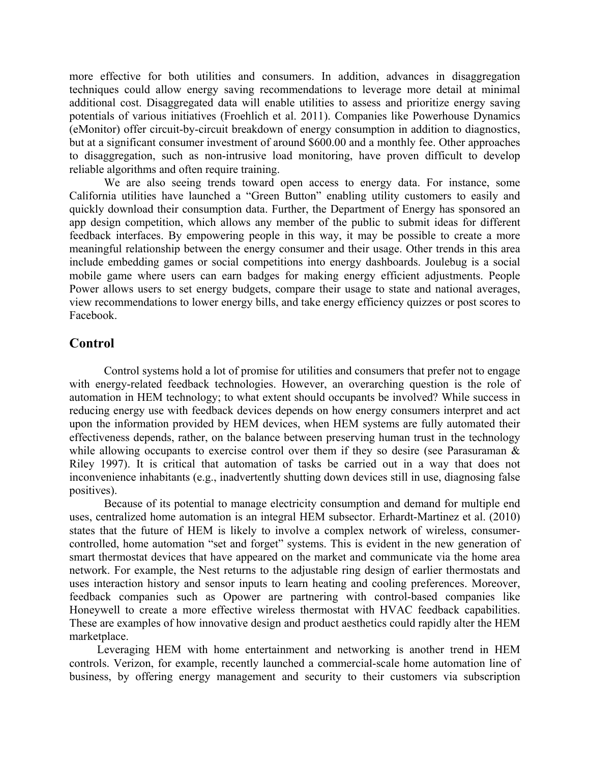more effective for both utilities and consumers. In addition, advances in disaggregation techniques could allow energy saving recommendations to leverage more detail at minimal additional cost. Disaggregated data will enable utilities to assess and prioritize energy saving potentials of various initiatives (Froehlich et al. 2011). Companies like Powerhouse Dynamics (eMonitor) offer circuit-by-circuit breakdown of energy consumption in addition to diagnostics, but at a significant consumer investment of around \$600.00 and a monthly fee. Other approaches to disaggregation, such as non-intrusive load monitoring, have proven difficult to develop reliable algorithms and often require training.

We are also seeing trends toward open access to energy data. For instance, some California utilities have launched a "Green Button" enabling utility customers to easily and quickly download their consumption data. Further, the Department of Energy has sponsored an app design competition, which allows any member of the public to submit ideas for different feedback interfaces. By empowering people in this way, it may be possible to create a more meaningful relationship between the energy consumer and their usage. Other trends in this area include embedding games or social competitions into energy dashboards. Joulebug is a social mobile game where users can earn badges for making energy efficient adjustments. People Power allows users to set energy budgets, compare their usage to state and national averages, view recommendations to lower energy bills, and take energy efficiency quizzes or post scores to Facebook.

# **Control**

Control systems hold a lot of promise for utilities and consumers that prefer not to engage with energy-related feedback technologies. However, an overarching question is the role of automation in HEM technology; to what extent should occupants be involved? While success in reducing energy use with feedback devices depends on how energy consumers interpret and act upon the information provided by HEM devices, when HEM systems are fully automated their effectiveness depends, rather, on the balance between preserving human trust in the technology while allowing occupants to exercise control over them if they so desire (see Parasuraman & Riley 1997). It is critical that automation of tasks be carried out in a way that does not inconvenience inhabitants (e.g., inadvertently shutting down devices still in use, diagnosing false positives).

 Because of its potential to manage electricity consumption and demand for multiple end uses, centralized home automation is an integral HEM subsector. Erhardt-Martinez et al. (2010) states that the future of HEM is likely to involve a complex network of wireless, consumercontrolled, home automation "set and forget" systems. This is evident in the new generation of smart thermostat devices that have appeared on the market and communicate via the home area network. For example, the Nest returns to the adjustable ring design of earlier thermostats and uses interaction history and sensor inputs to learn heating and cooling preferences. Moreover, feedback companies such as Opower are partnering with control-based companies like Honeywell to create a more effective wireless thermostat with HVAC feedback capabilities. These are examples of how innovative design and product aesthetics could rapidly alter the HEM marketplace.

Leveraging HEM with home entertainment and networking is another trend in HEM controls. Verizon, for example, recently launched a commercial-scale home automation line of business, by offering energy management and security to their customers via subscription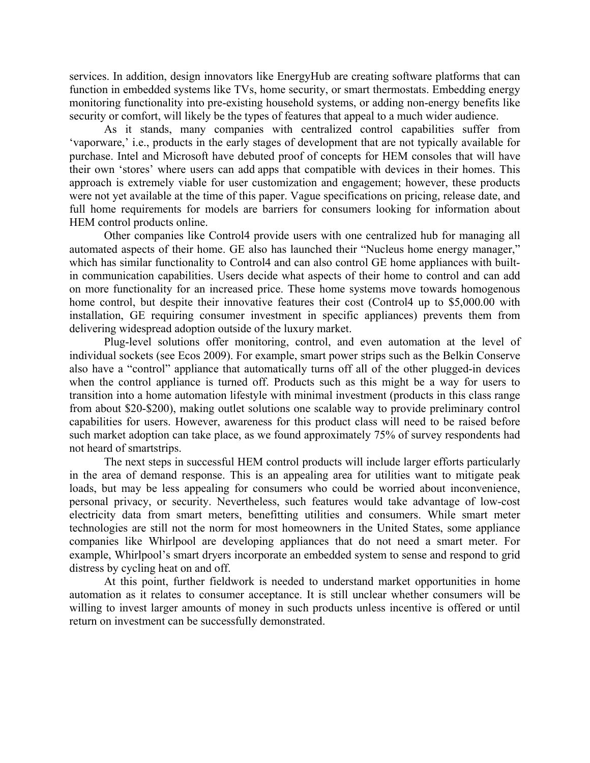services. In addition, design innovators like EnergyHub are creating software platforms that can function in embedded systems like TVs, home security, or smart thermostats. Embedding energy monitoring functionality into pre-existing household systems, or adding non-energy benefits like security or comfort, will likely be the types of features that appeal to a much wider audience.

As it stands, many companies with centralized control capabilities suffer from 'vaporware,' i.e., products in the early stages of development that are not typically available for purchase. Intel and Microsoft have debuted proof of concepts for HEM consoles that will have their own 'stores' where users can add apps that compatible with devices in their homes. This approach is extremely viable for user customization and engagement; however, these products were not yet available at the time of this paper. Vague specifications on pricing, release date, and full home requirements for models are barriers for consumers looking for information about HEM control products online.

Other companies like Control4 provide users with one centralized hub for managing all automated aspects of their home. GE also has launched their "Nucleus home energy manager," which has similar functionality to Control4 and can also control GE home appliances with builtin communication capabilities. Users decide what aspects of their home to control and can add on more functionality for an increased price. These home systems move towards homogenous home control, but despite their innovative features their cost (Control4 up to \$5,000.00 with installation, GE requiring consumer investment in specific appliances) prevents them from delivering widespread adoption outside of the luxury market.

Plug-level solutions offer monitoring, control, and even automation at the level of individual sockets (see Ecos 2009). For example, smart power strips such as the Belkin Conserve also have a "control" appliance that automatically turns off all of the other plugged-in devices when the control appliance is turned off. Products such as this might be a way for users to transition into a home automation lifestyle with minimal investment (products in this class range from about \$20-\$200), making outlet solutions one scalable way to provide preliminary control capabilities for users. However, awareness for this product class will need to be raised before such market adoption can take place, as we found approximately 75% of survey respondents had not heard of smartstrips.

The next steps in successful HEM control products will include larger efforts particularly in the area of demand response. This is an appealing area for utilities want to mitigate peak loads, but may be less appealing for consumers who could be worried about inconvenience, personal privacy, or security. Nevertheless, such features would take advantage of low-cost electricity data from smart meters, benefitting utilities and consumers. While smart meter technologies are still not the norm for most homeowners in the United States, some appliance companies like Whirlpool are developing appliances that do not need a smart meter. For example, Whirlpool's smart dryers incorporate an embedded system to sense and respond to grid distress by cycling heat on and off.

At this point, further fieldwork is needed to understand market opportunities in home automation as it relates to consumer acceptance. It is still unclear whether consumers will be willing to invest larger amounts of money in such products unless incentive is offered or until return on investment can be successfully demonstrated.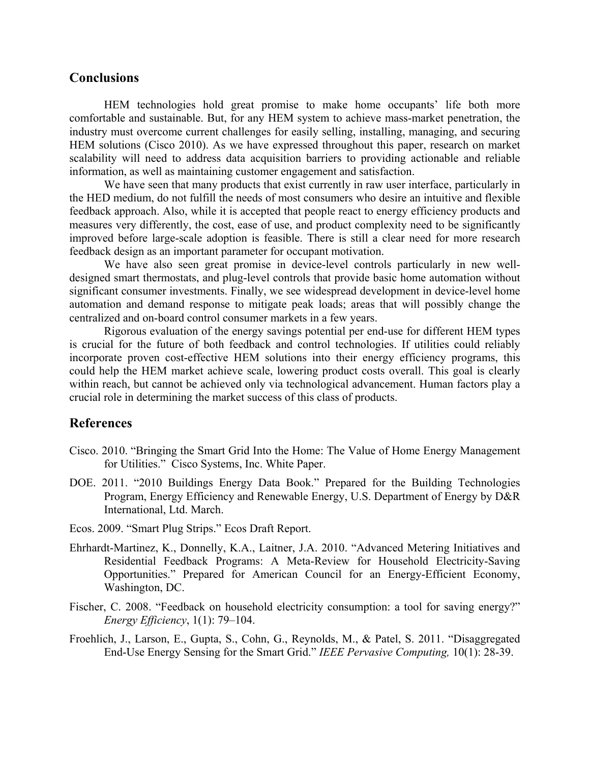# **Conclusions**

HEM technologies hold great promise to make home occupants' life both more comfortable and sustainable. But, for any HEM system to achieve mass-market penetration, the industry must overcome current challenges for easily selling, installing, managing, and securing HEM solutions (Cisco 2010). As we have expressed throughout this paper, research on market scalability will need to address data acquisition barriers to providing actionable and reliable information, as well as maintaining customer engagement and satisfaction.

We have seen that many products that exist currently in raw user interface, particularly in the HED medium, do not fulfill the needs of most consumers who desire an intuitive and flexible feedback approach. Also, while it is accepted that people react to energy efficiency products and measures very differently, the cost, ease of use, and product complexity need to be significantly improved before large-scale adoption is feasible. There is still a clear need for more research feedback design as an important parameter for occupant motivation.

We have also seen great promise in device-level controls particularly in new welldesigned smart thermostats, and plug-level controls that provide basic home automation without significant consumer investments. Finally, we see widespread development in device-level home automation and demand response to mitigate peak loads; areas that will possibly change the centralized and on-board control consumer markets in a few years.

Rigorous evaluation of the energy savings potential per end-use for different HEM types is crucial for the future of both feedback and control technologies. If utilities could reliably incorporate proven cost-effective HEM solutions into their energy efficiency programs, this could help the HEM market achieve scale, lowering product costs overall. This goal is clearly within reach, but cannot be achieved only via technological advancement. Human factors play a crucial role in determining the market success of this class of products.

#### **References**

- Cisco. 2010. "Bringing the Smart Grid Into the Home: The Value of Home Energy Management for Utilities." Cisco Systems, Inc. White Paper.
- DOE. 2011. "2010 Buildings Energy Data Book." Prepared for the Building Technologies Program, Energy Efficiency and Renewable Energy, U.S. Department of Energy by D&R International, Ltd. March.
- Ecos. 2009. "Smart Plug Strips." Ecos Draft Report.
- Ehrhardt-Martinez, K., Donnelly, K.A., Laitner, J.A. 2010. "Advanced Metering Initiatives and Residential Feedback Programs: A Meta-Review for Household Electricity-Saving Opportunities." Prepared for American Council for an Energy-Efficient Economy, Washington, DC.
- Fischer, C. 2008. "Feedback on household electricity consumption: a tool for saving energy?" *Energy Efficiency*, 1(1): 79–104.
- Froehlich, J., Larson, E., Gupta, S., Cohn, G., Reynolds, M., & Patel, S. 2011. "Disaggregated End-Use Energy Sensing for the Smart Grid." *IEEE Pervasive Computing,* 10(1): 28-39.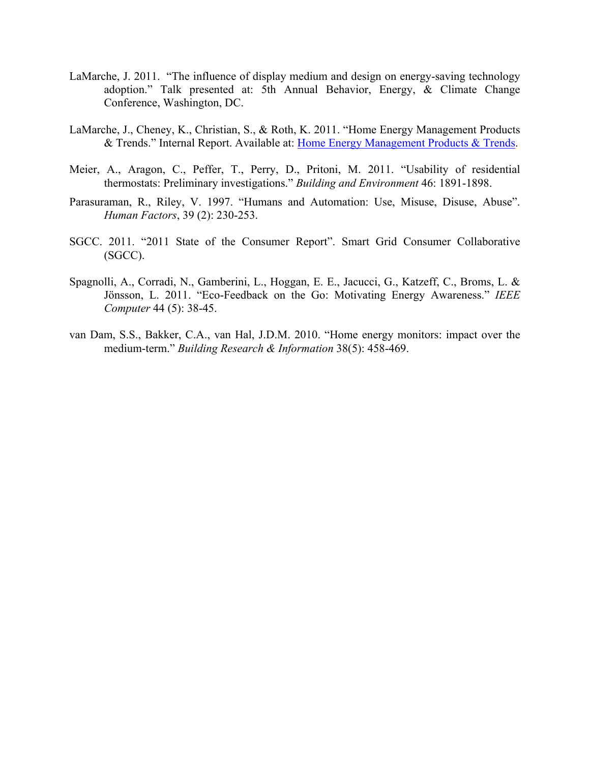- LaMarche, J. 2011. "The influence of display medium and design on energy-saving technology adoption." Talk presented at: 5th Annual Behavior, Energy, & Climate Change Conference, Washington, DC.
- LaMarche, J., Cheney, K., Christian, S., & Roth, K. 2011. "Home Energy Management Products & Trends." Internal Report. Available at: Home Energy Management Products & Trends.
- Meier, A., Aragon, C., Peffer, T., Perry, D., Pritoni, M. 2011. "Usability of residential thermostats: Preliminary investigations." *Building and Environment* 46: 1891-1898.
- Parasuraman, R., Riley, V. 1997. "Humans and Automation: Use, Misuse, Disuse, Abuse". *Human Factors*, 39 (2): 230-253.
- SGCC. 2011. "2011 State of the Consumer Report". Smart Grid Consumer Collaborative (SGCC).
- Spagnolli, A., Corradi, N., Gamberini, L., Hoggan, E. E., Jacucci, G., Katzeff, C., Broms, L. & Jönsson, L. 2011. "Eco-Feedback on the Go: Motivating Energy Awareness." *IEEE Computer* 44 (5): 38-45.
- van Dam, S.S., Bakker, C.A., van Hal, J.D.M. 2010. "Home energy monitors: impact over the medium-term." *Building Research & Information* 38(5): 458-469.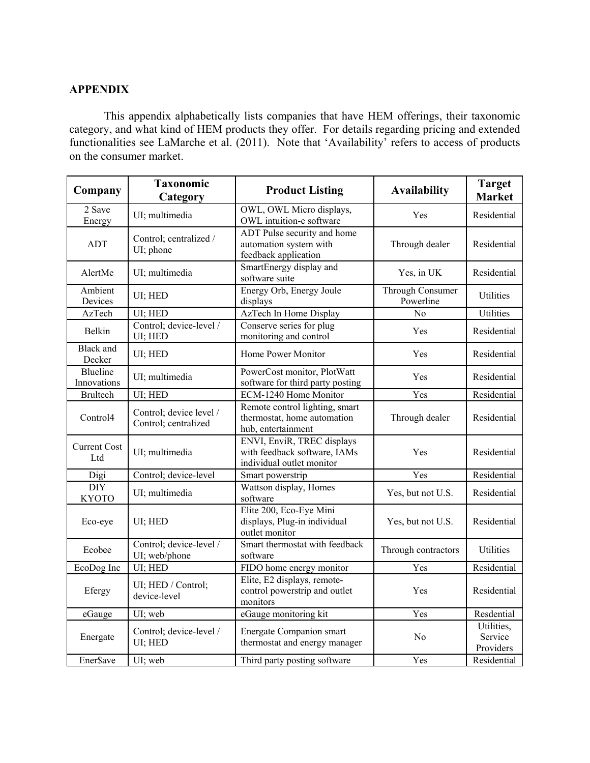#### **APPENDIX**

This appendix alphabetically lists companies that have HEM offerings, their taxonomic category, and what kind of HEM products they offer. For details regarding pricing and extended functionalities see LaMarche et al. (2011). Note that 'Availability' refers to access of products on the consumer market.

| Company                    | <b>Taxonomic</b><br>Category                    | <b>Product Listing</b>                                                                  | <b>Availability</b>           | <b>Target</b><br><b>Market</b>     |
|----------------------------|-------------------------------------------------|-----------------------------------------------------------------------------------------|-------------------------------|------------------------------------|
| 2 Save<br>Energy           | UI; multimedia                                  | OWL, OWL Micro displays,<br>OWL intuition-e software                                    | Yes                           | Residential                        |
| <b>ADT</b>                 | Control; centralized /<br>UI; phone             | ADT Pulse security and home<br>automation system with<br>feedback application           | Through dealer                | Residential                        |
| AlertMe                    | UI; multimedia                                  | SmartEnergy display and<br>software suite                                               | Yes, in UK                    | Residential                        |
| Ambient<br>Devices         | UI; HED                                         | Energy Orb, Energy Joule<br>displays                                                    | Through Consumer<br>Powerline | Utilities                          |
| AzTech                     | UI: HED                                         | AzTech In Home Display                                                                  | N <sub>0</sub>                | <b>Utilities</b>                   |
| Belkin                     | Control; device-level /<br>UI; HED              | Conserve series for plug<br>monitoring and control                                      | Yes                           | Residential                        |
| <b>Black</b> and<br>Decker | UI; HED                                         | Home Power Monitor                                                                      | Yes                           | Residential                        |
| Blueline<br>Innovations    | UI; multimedia                                  | PowerCost monitor, PlotWatt<br>software for third party posting                         | Yes                           | Residential                        |
| <b>Brultech</b>            | UI; HED                                         | ECM-1240 Home Monitor                                                                   | Yes                           | Residential                        |
| Control4                   | Control; device level /<br>Control; centralized | Remote control lighting, smart<br>thermostat, home automation<br>hub, entertainment     | Through dealer                | Residential                        |
| <b>Current Cost</b><br>Ltd | UI; multimedia                                  | ENVI, EnviR, TREC displays<br>with feedback software, IAMs<br>individual outlet monitor | Yes                           | Residential                        |
| Digi                       | Control; device-level                           | Smart powerstrip                                                                        | Yes                           | Residential                        |
| <b>DIY</b><br><b>KYOTO</b> | UI; multimedia                                  | Wattson display, Homes<br>software                                                      | Yes, but not U.S.             | Residential                        |
| Eco-eye                    | UI; HED                                         | Elite 200, Eco-Eye Mini<br>displays, Plug-in individual<br>outlet monitor               | Yes, but not U.S.             | Residential                        |
| Ecobee                     | Control; device-level /<br>UI; web/phone        | Smart thermostat with feedback<br>software                                              | Through contractors           | <b>Utilities</b>                   |
| EcoDog Inc                 | UI; HED                                         | FIDO home energy monitor                                                                | Yes                           | Residential                        |
| Efergy                     | UI; HED / Control;<br>device-level              | Elite, E2 displays, remote-<br>control powerstrip and outlet<br>monitors                | Yes                           | Residential                        |
| eGauge                     | UI; web                                         | eGauge monitoring kit                                                                   | Yes                           | Resdential                         |
| Energate                   | Control; device-level /<br>UI; HED              | <b>Energate Companion smart</b><br>thermostat and energy manager                        | N <sub>0</sub>                | Utilities,<br>Service<br>Providers |
| Ener\$ave                  | UI; web                                         | Third party posting software                                                            | Yes                           | Residential                        |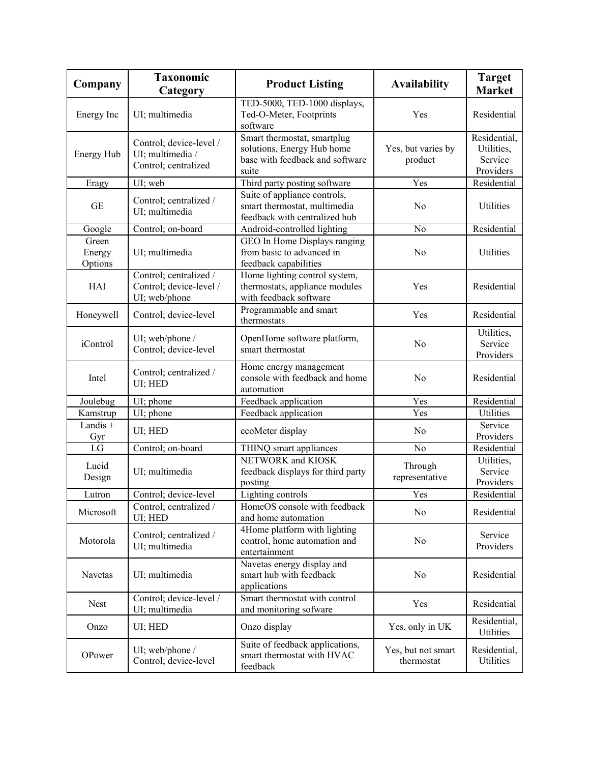| Company                    | <b>Taxonomic</b><br>Category                                        | <b>Product Listing</b>                                                                                | <b>Availability</b>              | <b>Target</b><br><b>Market</b>                     |
|----------------------------|---------------------------------------------------------------------|-------------------------------------------------------------------------------------------------------|----------------------------------|----------------------------------------------------|
| Energy Inc                 | UI; multimedia                                                      | TED-5000, TED-1000 displays,<br>Ted-O-Meter, Footprints<br>software                                   | Yes                              | Residential                                        |
| Energy Hub                 | Control; device-level /<br>UI; multimedia /<br>Control; centralized | Smart thermostat, smartplug<br>solutions, Energy Hub home<br>base with feedback and software<br>suite | Yes, but varies by<br>product    | Residential,<br>Utilities,<br>Service<br>Providers |
| Eragy                      | UI; web                                                             | Third party posting software                                                                          | Yes                              | Residential                                        |
| GE                         | Control; centralized /<br>UI; multimedia                            | Suite of appliance controls,<br>smart thermostat, multimedia<br>feedback with centralized hub         | N <sub>0</sub>                   | Utilities                                          |
| Google                     | Control; on-board                                                   | Android-controlled lighting                                                                           | N <sub>0</sub>                   | Residential                                        |
| Green<br>Energy<br>Options | UI; multimedia                                                      | GEO In Home Displays ranging<br>from basic to advanced in<br>feedback capabilities                    | No                               | Utilities                                          |
| <b>HAI</b>                 | Control; centralized /<br>Control; device-level /<br>UI; web/phone  | Home lighting control system,<br>thermostats, appliance modules<br>with feedback software             | Yes                              | Residential                                        |
| Honeywell                  | Control; device-level                                               | Programmable and smart<br>thermostats                                                                 | Yes                              | Residential                                        |
| iControl                   | UI; web/phone /<br>Control; device-level                            | OpenHome software platform,<br>smart thermostat                                                       | No                               | Utilities,<br>Service<br>Providers                 |
| Intel                      | Control; centralized /<br>UI; HED                                   | Home energy management<br>console with feedback and home<br>automation                                | N <sub>0</sub>                   | Residential                                        |
| Joulebug                   | UI; phone                                                           | Feedback application                                                                                  | Yes                              | Residential                                        |
| Kamstrup                   | UI; phone                                                           | Feedback application                                                                                  | Yes                              | Utilities                                          |
| Landis +<br>Gyr            | UI; HED                                                             | ecoMeter display                                                                                      | No                               | Service<br>Providers                               |
| LG                         | Control; on-board                                                   | THINQ smart appliances                                                                                | No                               | Residential                                        |
| Lucid<br>Design            | UI; multimedia                                                      | NETWORK and KIOSK<br>feedback displays for third party<br>posting                                     | Through<br>representative        | Utilities,<br>Service<br>Providers                 |
| Lutron                     | Control; device-level                                               | Lighting controls                                                                                     | Yes                              | Residential                                        |
| Microsoft                  | Control; centralized /<br>UI; HED                                   | HomeOS console with feedback<br>and home automation                                                   | N <sub>0</sub>                   | Residential                                        |
| Motorola                   | Control; centralized /<br>UI; multimedia                            | 4Home platform with lighting<br>control, home automation and<br>entertainment                         | N <sub>0</sub>                   | Service<br>Providers                               |
| Navetas                    | UI; multimedia                                                      | Navetas energy display and<br>smart hub with feedback<br>applications                                 | No                               | Residential                                        |
| Nest                       | Control; device-level /<br>UI; multimedia                           | Smart thermostat with control<br>and monitoring sofware                                               | Yes                              | Residential                                        |
| Onzo                       | UI; HED                                                             | Onzo display                                                                                          | Yes, only in UK                  | Residential,<br>Utilities                          |
| OPower                     | UI; web/phone /<br>Control; device-level                            | Suite of feedback applications,<br>smart thermostat with HVAC<br>feedback                             | Yes, but not smart<br>thermostat | Residential,<br>Utilities                          |